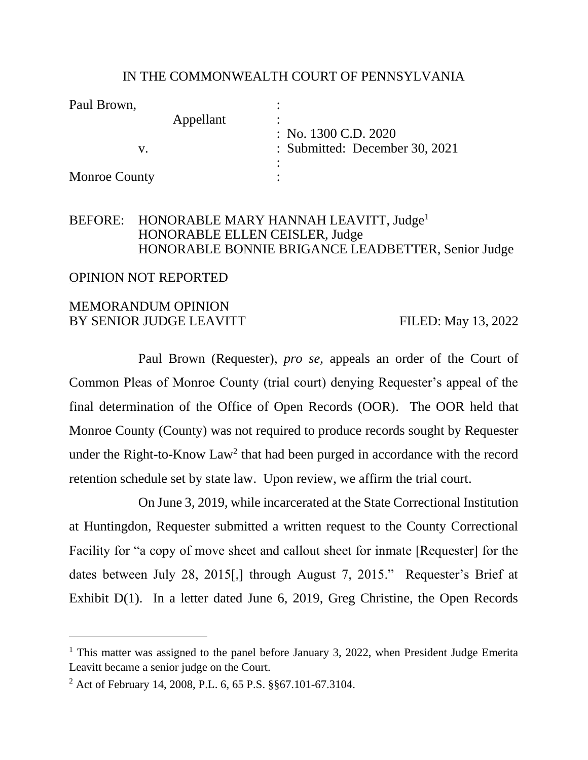#### IN THE COMMONWEALTH COURT OF PENNSYLVANIA

| Paul Brown,          |                                |
|----------------------|--------------------------------|
| Appellant            | : No. $1300$ C.D. $2020$       |
|                      | : Submitted: December 30, 2021 |
|                      |                                |
| <b>Monroe County</b> |                                |

### BEFORE: HONORABLE MARY HANNAH LEAVITT, Judge<sup>1</sup> HONORABLE ELLEN CEISLER, Judge HONORABLE BONNIE BRIGANCE LEADBETTER, Senior Judge

#### OPINION NOT REPORTED

#### MEMORANDUM OPINION BY SENIOR JUDGE LEAVITT FILED: May 13, 2022

Paul Brown (Requester), *pro se,* appeals an order of the Court of Common Pleas of Monroe County (trial court) denying Requester's appeal of the final determination of the Office of Open Records (OOR). The OOR held that Monroe County (County) was not required to produce records sought by Requester under the Right-to-Know  $Law^2$  that had been purged in accordance with the record retention schedule set by state law. Upon review, we affirm the trial court.

On June 3, 2019, while incarcerated at the State Correctional Institution at Huntingdon, Requester submitted a written request to the County Correctional Facility for "a copy of move sheet and callout sheet for inmate [Requester] for the dates between July 28, 2015[,] through August 7, 2015." Requester's Brief at Exhibit D(1). In a letter dated June 6, 2019, Greg Christine, the Open Records

<sup>&</sup>lt;sup>1</sup> This matter was assigned to the panel before January 3, 2022, when President Judge Emerita Leavitt became a senior judge on the Court.

<sup>2</sup> Act of February 14, 2008, P.L. 6, 65 P.S. §§67.101-67.3104.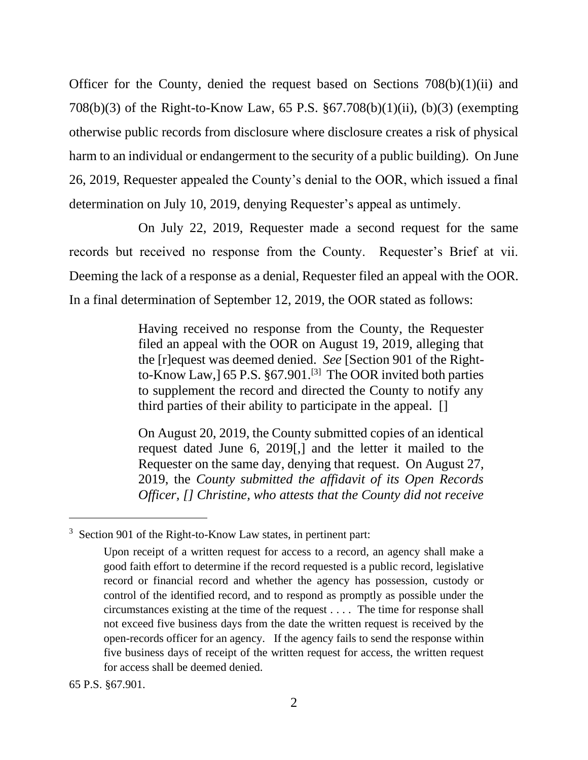Officer for the County, denied the request based on Sections 708(b)(1)(ii) and 708(b)(3) of the Right-to-Know Law, 65 P.S. §67.708(b)(1)(ii), (b)(3) (exempting otherwise public records from disclosure where disclosure creates a risk of physical harm to an individual or endangerment to the security of a public building). On June 26, 2019, Requester appealed the County's denial to the OOR, which issued a final determination on July 10, 2019, denying Requester's appeal as untimely.

On July 22, 2019, Requester made a second request for the same records but received no response from the County. Requester's Brief at vii. Deeming the lack of a response as a denial, Requester filed an appeal with the OOR. In a final determination of September 12, 2019, the OOR stated as follows:

> Having received no response from the County, the Requester filed an appeal with the OOR on August 19, 2019, alleging that the [r]equest was deemed denied. *See* [Section 901 of the Rightto-Know Law,]  $65$  P.S.  $§67.901$ .<sup>[3]</sup> The OOR invited both parties to supplement the record and directed the County to notify any third parties of their ability to participate in the appeal. []

> On August 20, 2019, the County submitted copies of an identical request dated June 6, 2019[,] and the letter it mailed to the Requester on the same day, denying that request. On August 27, 2019, the *County submitted the affidavit of its Open Records Officer, [] Christine, who attests that the County did not receive*

<sup>&</sup>lt;sup>3</sup> Section 901 of the Right-to-Know Law states, in pertinent part:

Upon receipt of a written request for access to a record, an agency shall make a good faith effort to determine if the record requested is a public record, legislative record or financial record and whether the agency has possession, custody or control of the identified record, and to respond as promptly as possible under the circumstances existing at the time of the request . . . . The time for response shall not exceed five business days from the date the written request is received by the open-records officer for an agency. If the agency fails to send the response within five business days of receipt of the written request for access, the written request for access shall be deemed denied.

<sup>65</sup> P.S. §67.901.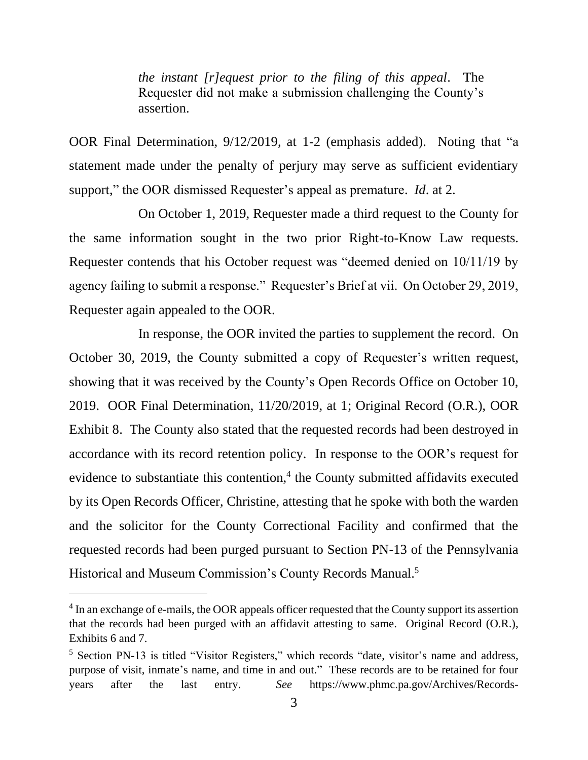*the instant [r]equest prior to the filing of this appeal*. The Requester did not make a submission challenging the County's assertion.

OOR Final Determination, 9/12/2019, at 1-2 (emphasis added). Noting that "a statement made under the penalty of perjury may serve as sufficient evidentiary support," the OOR dismissed Requester's appeal as premature. *Id*. at 2.

On October 1, 2019, Requester made a third request to the County for the same information sought in the two prior Right-to-Know Law requests. Requester contends that his October request was "deemed denied on 10/11/19 by agency failing to submit a response." Requester's Brief at vii. On October 29, 2019, Requester again appealed to the OOR.

In response, the OOR invited the parties to supplement the record. On October 30, 2019, the County submitted a copy of Requester's written request, showing that it was received by the County's Open Records Office on October 10, 2019. OOR Final Determination, 11/20/2019, at 1; Original Record (O.R.), OOR Exhibit 8. The County also stated that the requested records had been destroyed in accordance with its record retention policy. In response to the OOR's request for evidence to substantiate this contention, 4 the County submitted affidavits executed by its Open Records Officer, Christine, attesting that he spoke with both the warden and the solicitor for the County Correctional Facility and confirmed that the requested records had been purged pursuant to Section PN-13 of the Pennsylvania Historical and Museum Commission's County Records Manual.<sup>5</sup>

<sup>&</sup>lt;sup>4</sup> In an exchange of e-mails, the OOR appeals officer requested that the County support its assertion that the records had been purged with an affidavit attesting to same. Original Record (O.R.), Exhibits 6 and 7.

<sup>5</sup> Section PN-13 is titled "Visitor Registers," which records "date, visitor's name and address, purpose of visit, inmate's name, and time in and out." These records are to be retained for four years after the last entry. *See* https://www.phmc.pa.gov/Archives/Records-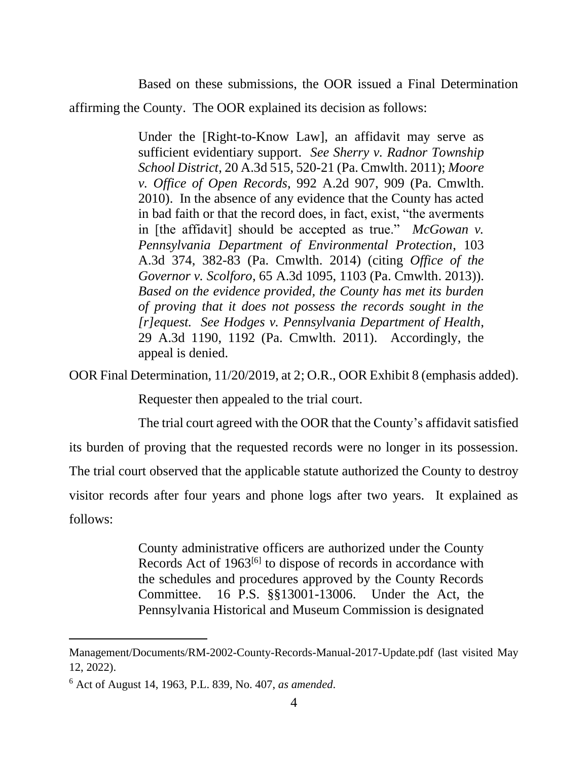Based on these submissions, the OOR issued a Final Determination affirming the County. The OOR explained its decision as follows:

> Under the [Right-to-Know Law], an affidavit may serve as sufficient evidentiary support. *See Sherry v. Radnor Township School District*, 20 A.3d 515, 520-21 (Pa. Cmwlth. 2011); *Moore v. Office of Open Records*, 992 A.2d 907, 909 (Pa. Cmwlth. 2010). In the absence of any evidence that the County has acted in bad faith or that the record does, in fact, exist, "the averments in [the affidavit] should be accepted as true." *McGowan v. Pennsylvania Department of Environmental Protection*, 103 A.3d 374, 382-83 (Pa. Cmwlth. 2014) (citing *Office of the Governor v. Scolforo*, 65 A.3d 1095, 1103 (Pa. Cmwlth. 2013)). *Based on the evidence provided, the County has met its burden of proving that it does not possess the records sought in the [r]equest. See Hodges v. Pennsylvania Department of Health*, 29 A.3d 1190, 1192 (Pa. Cmwlth. 2011). Accordingly, the appeal is denied.

OOR Final Determination, 11/20/2019, at 2; O.R., OOR Exhibit 8 (emphasis added).

Requester then appealed to the trial court.

The trial court agreed with the OOR that the County's affidavit satisfied its burden of proving that the requested records were no longer in its possession. The trial court observed that the applicable statute authorized the County to destroy visitor records after four years and phone logs after two years. It explained as follows:

> County administrative officers are authorized under the County Records Act of 1963<sup>[6]</sup> to dispose of records in accordance with the schedules and procedures approved by the County Records Committee. 16 P.S. §§13001-13006. Under the Act, the Pennsylvania Historical and Museum Commission is designated

Management/Documents/RM-2002-County-Records-Manual-2017-Update.pdf (last visited May 12, 2022).

<sup>6</sup> Act of August 14, 1963, P.L. 839, No. 407, *as amended*.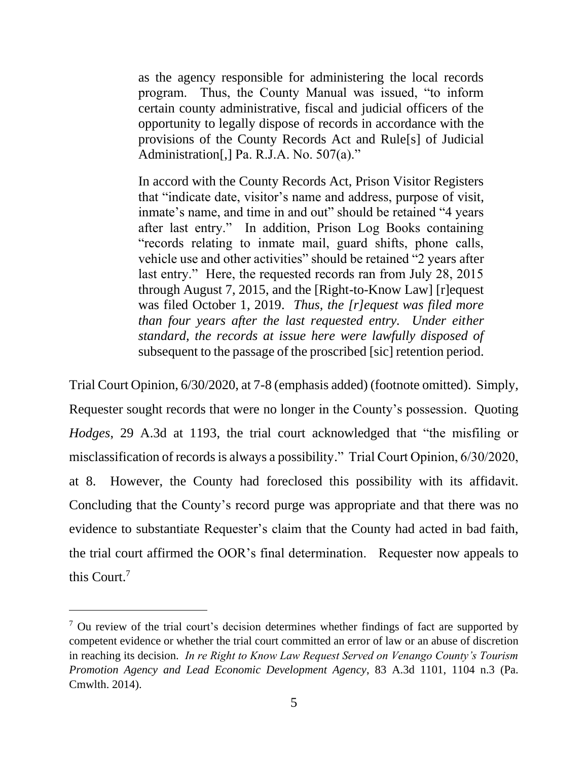as the agency responsible for administering the local records program. Thus, the County Manual was issued, "to inform certain county administrative, fiscal and judicial officers of the opportunity to legally dispose of records in accordance with the provisions of the County Records Act and Rule[s] of Judicial Administration[,] Pa. R.J.A. No. 507(a)."

In accord with the County Records Act, Prison Visitor Registers that "indicate date, visitor's name and address, purpose of visit, inmate's name, and time in and out" should be retained "4 years after last entry." In addition, Prison Log Books containing "records relating to inmate mail, guard shifts, phone calls, vehicle use and other activities" should be retained "2 years after last entry." Here, the requested records ran from July 28, 2015 through August 7, 2015, and the [Right-to-Know Law] [r]equest was filed October 1, 2019. *Thus, the [r]equest was filed more than four years after the last requested entry. Under either standard, the records at issue here were lawfully disposed of*  subsequent to the passage of the proscribed [sic] retention period.

Trial Court Opinion, 6/30/2020, at 7-8 (emphasis added) (footnote omitted). Simply, Requester sought records that were no longer in the County's possession. Quoting *Hodges*, 29 A.3d at 1193, the trial court acknowledged that "the misfiling or misclassification of records is always a possibility." Trial Court Opinion, 6/30/2020, at 8. However, the County had foreclosed this possibility with its affidavit. Concluding that the County's record purge was appropriate and that there was no evidence to substantiate Requester's claim that the County had acted in bad faith, the trial court affirmed the OOR's final determination. Requester now appeals to this Court.<sup>7</sup>

 $7$  Ou review of the trial court's decision determines whether findings of fact are supported by competent evidence or whether the trial court committed an error of law or an abuse of discretion in reaching its decision. *In re Right to Know Law Request Served on Venango County's Tourism Promotion Agency and Lead Economic Development Agency*, 83 A.3d 1101, 1104 n.3 (Pa. Cmwlth. 2014).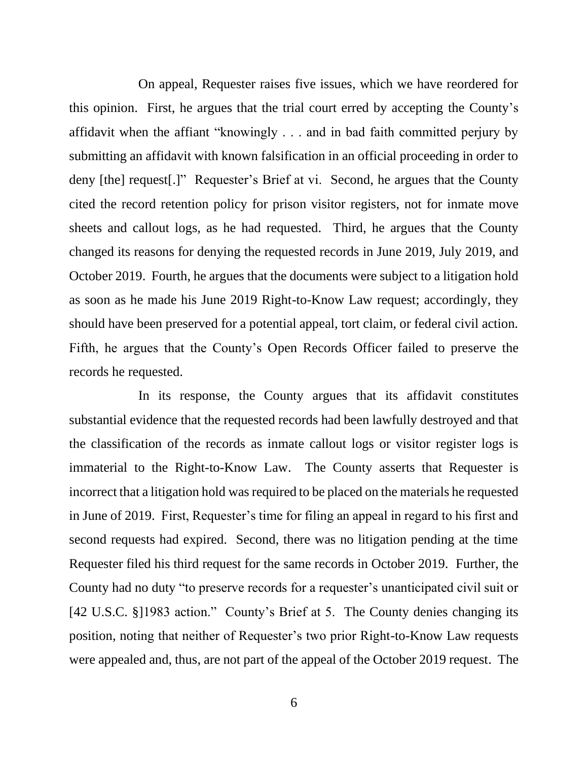On appeal, Requester raises five issues, which we have reordered for this opinion. First, he argues that the trial court erred by accepting the County's affidavit when the affiant "knowingly . . . and in bad faith committed perjury by submitting an affidavit with known falsification in an official proceeding in order to deny [the] request[.]" Requester's Brief at vi. Second, he argues that the County cited the record retention policy for prison visitor registers, not for inmate move sheets and callout logs, as he had requested. Third, he argues that the County changed its reasons for denying the requested records in June 2019, July 2019, and October 2019. Fourth, he argues that the documents were subject to a litigation hold as soon as he made his June 2019 Right-to-Know Law request; accordingly, they should have been preserved for a potential appeal, tort claim, or federal civil action. Fifth, he argues that the County's Open Records Officer failed to preserve the records he requested.

In its response, the County argues that its affidavit constitutes substantial evidence that the requested records had been lawfully destroyed and that the classification of the records as inmate callout logs or visitor register logs is immaterial to the Right-to-Know Law. The County asserts that Requester is incorrect that a litigation hold was required to be placed on the materials he requested in June of 2019. First, Requester's time for filing an appeal in regard to his first and second requests had expired. Second, there was no litigation pending at the time Requester filed his third request for the same records in October 2019. Further, the County had no duty "to preserve records for a requester's unanticipated civil suit or [42 U.S.C. §]1983 action." County's Brief at 5. The County denies changing its position, noting that neither of Requester's two prior Right-to-Know Law requests were appealed and, thus, are not part of the appeal of the October 2019 request. The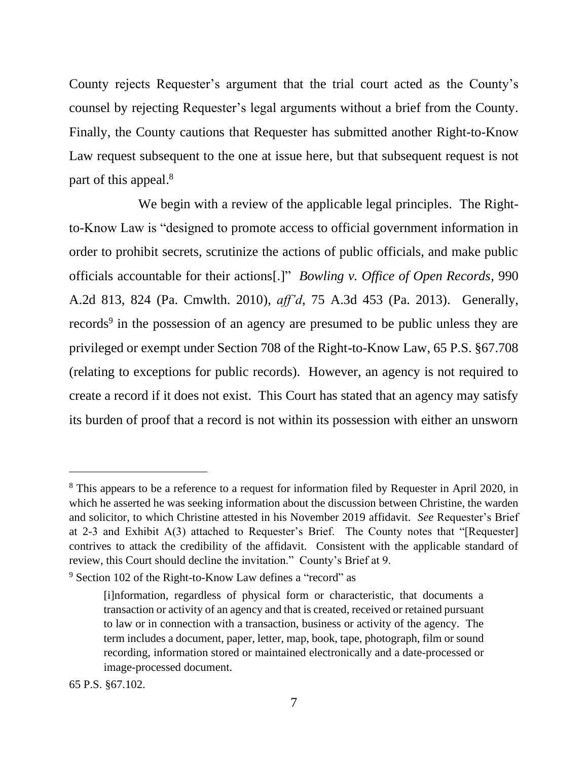County rejects Requester's argument that the trial court acted as the County's counsel by rejecting Requester's legal arguments without a brief from the County. Finally, the County cautions that Requester has submitted another Right-to-Know Law request subsequent to the one at issue here, but that subsequent request is not part of this appeal.<sup>8</sup>

We begin with a review of the applicable legal principles. The Rightto-Know Law is "designed to promote access to official government information in order to prohibit secrets, scrutinize the actions of public officials, and make public officials accountable for their actions[.]" *Bowling v. Office of Open Records*, 990 A.2d 813, 824 (Pa. Cmwlth. 2010), *aff'd*, 75 A.3d 453 (Pa. 2013). Generally, records<sup>9</sup> in the possession of an agency are presumed to be public unless they are privileged or exempt under Section 708 of the Right-to-Know Law, 65 P.S. §67.708 (relating to exceptions for public records). However, an agency is not required to create a record if it does not exist. This Court has stated that an agency may satisfy its burden of proof that a record is not within its possession with either an unsworn

<sup>&</sup>lt;sup>8</sup> This appears to be a reference to a request for information filed by Requester in April 2020, in which he asserted he was seeking information about the discussion between Christine, the warden and solicitor, to which Christine attested in his November 2019 affidavit. *See* Requester's Brief at 2-3 and Exhibit A(3) attached to Requester's Brief. The County notes that "[Requester] contrives to attack the credibility of the affidavit. Consistent with the applicable standard of review, this Court should decline the invitation." County's Brief at 9.

<sup>9</sup> Section 102 of the Right-to-Know Law defines a "record" as

<sup>[</sup>i]nformation, regardless of physical form or characteristic, that documents a transaction or activity of an agency and that is created, received or retained pursuant to law or in connection with a transaction, business or activity of the agency. The term includes a document, paper, letter, map, book, tape, photograph, film or sound recording, information stored or maintained electronically and a date-processed or image-processed document.

<sup>65</sup> P.S. §67.102.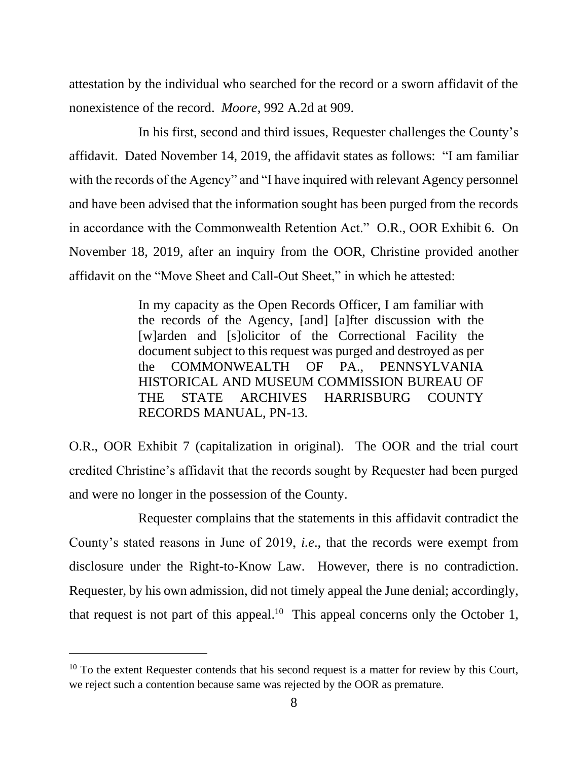attestation by the individual who searched for the record or a sworn affidavit of the nonexistence of the record. *Moore*, 992 A.2d at 909.

In his first, second and third issues, Requester challenges the County's affidavit. Dated November 14, 2019, the affidavit states as follows: "I am familiar with the records of the Agency" and "I have inquired with relevant Agency personnel and have been advised that the information sought has been purged from the records in accordance with the Commonwealth Retention Act." O.R., OOR Exhibit 6. On November 18, 2019, after an inquiry from the OOR, Christine provided another affidavit on the "Move Sheet and Call-Out Sheet," in which he attested:

> In my capacity as the Open Records Officer, I am familiar with the records of the Agency, [and] [a]fter discussion with the [w]arden and [s]olicitor of the Correctional Facility the document subject to this request was purged and destroyed as per the COMMONWEALTH OF PA., PENNSYLVANIA HISTORICAL AND MUSEUM COMMISSION BUREAU OF THE STATE ARCHIVES HARRISBURG COUNTY RECORDS MANUAL, PN-13.

O.R., OOR Exhibit 7 (capitalization in original). The OOR and the trial court credited Christine's affidavit that the records sought by Requester had been purged and were no longer in the possession of the County.

Requester complains that the statements in this affidavit contradict the County's stated reasons in June of 2019, *i.e*., that the records were exempt from disclosure under the Right-to-Know Law. However, there is no contradiction. Requester, by his own admission, did not timely appeal the June denial; accordingly, that request is not part of this appeal.<sup>10</sup> This appeal concerns only the October 1,

 $10$  To the extent Requester contends that his second request is a matter for review by this Court, we reject such a contention because same was rejected by the OOR as premature.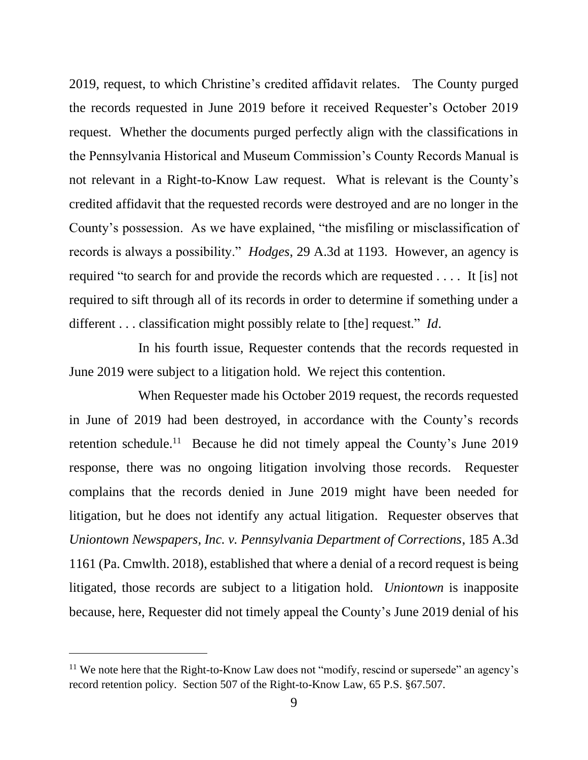2019, request, to which Christine's credited affidavit relates. The County purged the records requested in June 2019 before it received Requester's October 2019 request. Whether the documents purged perfectly align with the classifications in the Pennsylvania Historical and Museum Commission's County Records Manual is not relevant in a Right-to-Know Law request. What is relevant is the County's credited affidavit that the requested records were destroyed and are no longer in the County's possession. As we have explained, "the misfiling or misclassification of records is always a possibility." *Hodges*, 29 A.3d at 1193. However, an agency is required "to search for and provide the records which are requested . . . . It [is] not required to sift through all of its records in order to determine if something under a different . . . classification might possibly relate to [the] request." *Id*.

In his fourth issue, Requester contends that the records requested in June 2019 were subject to a litigation hold. We reject this contention.

When Requester made his October 2019 request, the records requested in June of 2019 had been destroyed, in accordance with the County's records retention schedule.<sup>11</sup> Because he did not timely appeal the County's June 2019 response, there was no ongoing litigation involving those records. Requester complains that the records denied in June 2019 might have been needed for litigation, but he does not identify any actual litigation. Requester observes that *Uniontown Newspapers, Inc. v. Pennsylvania Department of Corrections*, 185 A.3d 1161 (Pa. Cmwlth. 2018), established that where a denial of a record request is being litigated, those records are subject to a litigation hold. *Uniontown* is inapposite because, here, Requester did not timely appeal the County's June 2019 denial of his

 $11$  We note here that the Right-to-Know Law does not "modify, rescind or supersede" an agency's record retention policy. Section 507 of the Right-to-Know Law, 65 P.S. §67.507.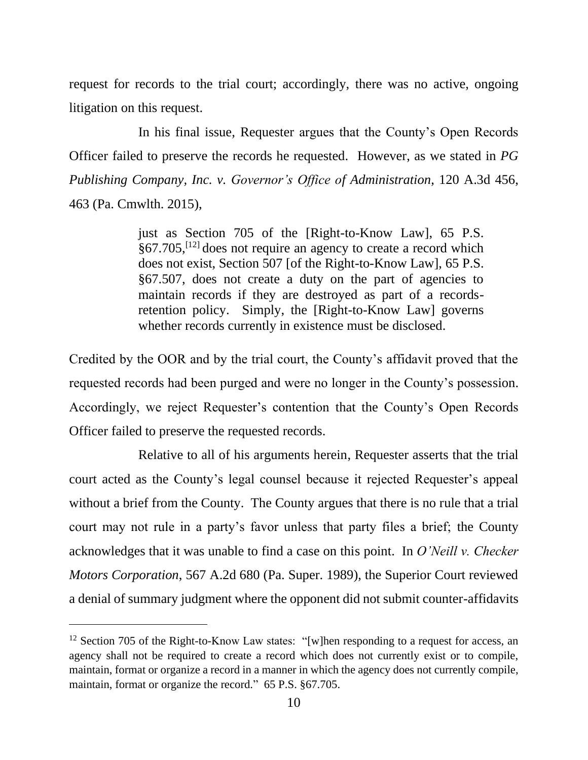request for records to the trial court; accordingly, there was no active, ongoing litigation on this request.

In his final issue, Requester argues that the County's Open Records Officer failed to preserve the records he requested. However, as we stated in *PG Publishing Company, Inc. v. Governor's Office of Administration*, 120 A.3d 456, 463 (Pa. Cmwlth. 2015),

> just as Section 705 of the [Right-to-Know Law], 65 P.S. §67.705,[12] does not require an agency to create a record which does not exist, Section 507 [of the Right-to-Know Law], 65 P.S. §67.507, does not create a duty on the part of agencies to maintain records if they are destroyed as part of a recordsretention policy. Simply, the [Right-to-Know Law] governs whether records currently in existence must be disclosed.

Credited by the OOR and by the trial court, the County's affidavit proved that the requested records had been purged and were no longer in the County's possession. Accordingly, we reject Requester's contention that the County's Open Records Officer failed to preserve the requested records.

Relative to all of his arguments herein, Requester asserts that the trial court acted as the County's legal counsel because it rejected Requester's appeal without a brief from the County. The County argues that there is no rule that a trial court may not rule in a party's favor unless that party files a brief; the County acknowledges that it was unable to find a case on this point. In *O'Neill v. Checker Motors Corporation*, 567 A.2d 680 (Pa. Super. 1989), the Superior Court reviewed a denial of summary judgment where the opponent did not submit counter-affidavits

<sup>&</sup>lt;sup>12</sup> Section 705 of the Right-to-Know Law states: "[w]hen responding to a request for access, an agency shall not be required to create a record which does not currently exist or to compile, maintain, format or organize a record in a manner in which the agency does not currently compile, maintain, format or organize the record." 65 P.S. §67.705.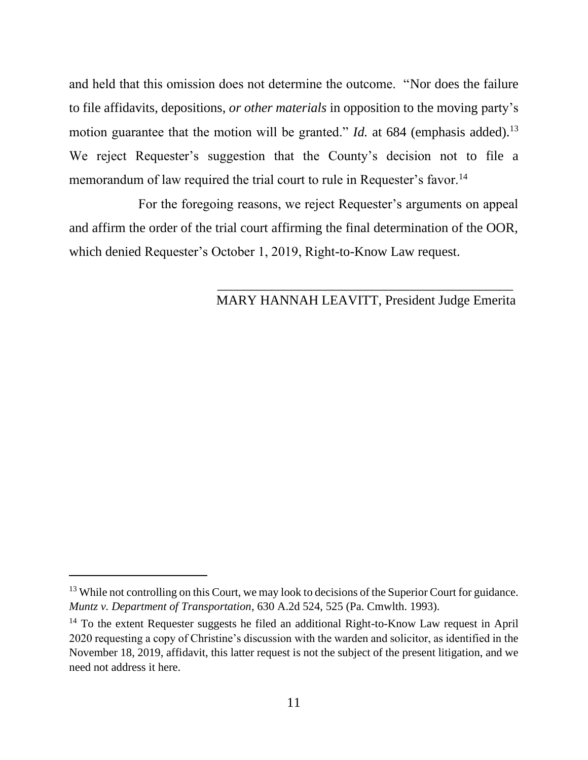and held that this omission does not determine the outcome. "Nor does the failure to file affidavits, depositions, *or other materials* in opposition to the moving party's motion guarantee that the motion will be granted." *Id.* at 684 (emphasis added).<sup>13</sup> We reject Requester's suggestion that the County's decision not to file a memorandum of law required the trial court to rule in Requester's favor.<sup>14</sup>

For the foregoing reasons, we reject Requester's arguments on appeal and affirm the order of the trial court affirming the final determination of the OOR, which denied Requester's October 1, 2019, Right-to-Know Law request.

### MARY HANNAH LEAVITT, President Judge Emerita

 $\overline{\phantom{a}}$  , and the contract of the contract of the contract of the contract of the contract of the contract of the contract of the contract of the contract of the contract of the contract of the contract of the contrac

<sup>&</sup>lt;sup>13</sup> While not controlling on this Court, we may look to decisions of the Superior Court for guidance. *Muntz v. Department of Transportation*, 630 A.2d 524, 525 (Pa. Cmwlth. 1993).

 $14$  To the extent Requester suggests he filed an additional Right-to-Know Law request in April 2020 requesting a copy of Christine's discussion with the warden and solicitor, as identified in the November 18, 2019, affidavit, this latter request is not the subject of the present litigation, and we need not address it here.